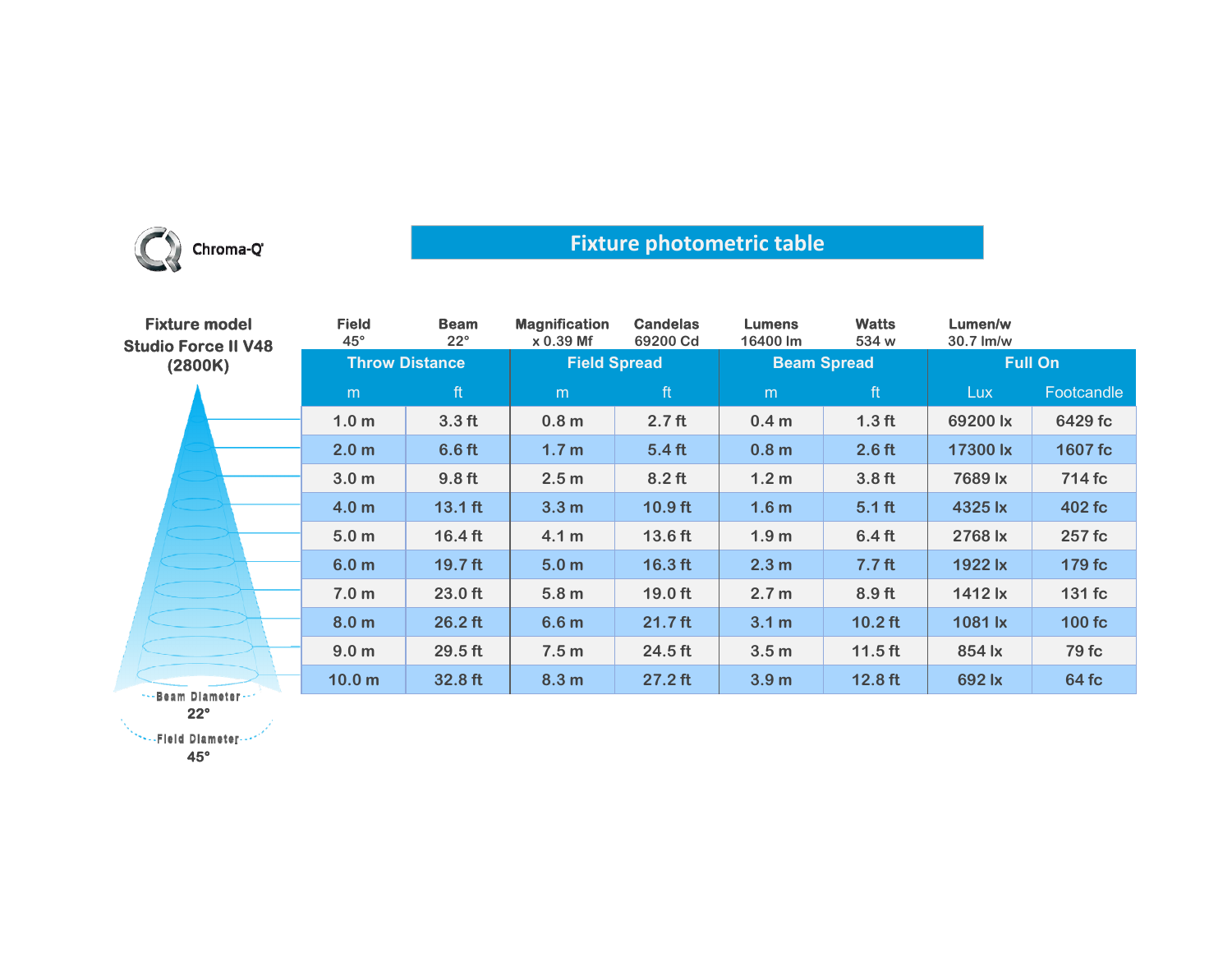

## **Fixture photometric table**

| <b>Fixture model</b><br><b>Studio Force II V48</b><br>(2800K) | <b>Field</b><br>$45^\circ$ | <b>Beam</b><br>$22^{\circ}$ | <b>Magnification</b><br>$x 0.39$ Mf | <b>Candelas</b><br>69200 Cd | <b>Lumens</b><br>16400 lm | <b>Watts</b><br>534 w | Lumen/w<br>30.7 lm/w |            |
|---------------------------------------------------------------|----------------------------|-----------------------------|-------------------------------------|-----------------------------|---------------------------|-----------------------|----------------------|------------|
|                                                               | <b>Throw Distance</b>      |                             | <b>Field Spread</b>                 |                             | <b>Beam Spread</b>        |                       | <b>Full On</b>       |            |
|                                                               | m                          | ft                          | m                                   | ft                          | m                         | ft                    | Lux                  | Footcandle |
|                                                               | 1.0 <sub>m</sub>           | 3.3 <sub>ft</sub>           | 0.8 <sub>m</sub>                    | 2.7 <sub>ft</sub>           | 0.4 <sub>m</sub>          | 1.3 <sub>ft</sub>     | 69200 lx             | 6429 fc    |
|                                                               | 2.0 <sub>m</sub>           | 6.6 <sub>ft</sub>           | 1.7 <sub>m</sub>                    | $5.4$ ft                    | 0.8 <sub>m</sub>          | $2.6$ ft              | 17300 lx             | 1607 fc    |
|                                                               | 3.0 <sub>m</sub>           | 9.8 <sub>ft</sub>           | 2.5 <sub>m</sub>                    | $8.2$ ft                    | 1.2 <sub>m</sub>          | 3.8 <sub>ft</sub>     | 7689 lx              | 714 fc     |
|                                                               | 4.0 <sub>m</sub>           | $13.1$ ft                   | 3.3 <sub>m</sub>                    | $10.9$ ft                   | 1.6 <sub>m</sub>          | $5.1$ ft              | 4325 lx              | 402 fc     |
|                                                               | 5.0 <sub>m</sub>           | $16.4$ ft                   | 4.1 <sub>m</sub>                    | 13.6 ft                     | 1.9 <sub>m</sub>          | 6.4 <sub>ft</sub>     | 2768 lx              | 257 fc     |
|                                                               | 6.0 <sub>m</sub>           | 19.7 <sub>ft</sub>          | 5.0 <sub>m</sub>                    | $16.3$ ft                   | 2.3 <sub>m</sub>          | 7.7 <sub>ft</sub>     | 1922 lx              | 179 fc     |
|                                                               | 7.0 <sub>m</sub>           | $23.0$ ft                   | 5.8 <sub>m</sub>                    | $19.0$ ft                   | 2.7 <sub>m</sub>          | $8.9$ ft              | 1412 lx              | 131 fc     |
|                                                               | 8.0 <sub>m</sub>           | $26.2$ ft                   | 6.6 <sub>m</sub>                    | $21.7$ ft                   | 3.1 m                     | $10.2$ ft             | 1081 lx              | 100 fc     |
|                                                               | 9.0 <sub>m</sub>           | $29.5$ ft                   | 7.5 <sub>m</sub>                    | $24.5$ ft                   | 3.5 <sub>m</sub>          | $11.5$ ft             | 854 lx               | 79 fc      |
| *** Beam Diameter ***                                         | 10.0 <sub>m</sub>          | 32.8 ft                     | 8.3 <sub>m</sub>                    | $27.2$ ft                   | 3.9 <sub>m</sub>          | $12.8$ ft             | 692 lx               | 64 fc      |

**22°**

**45°**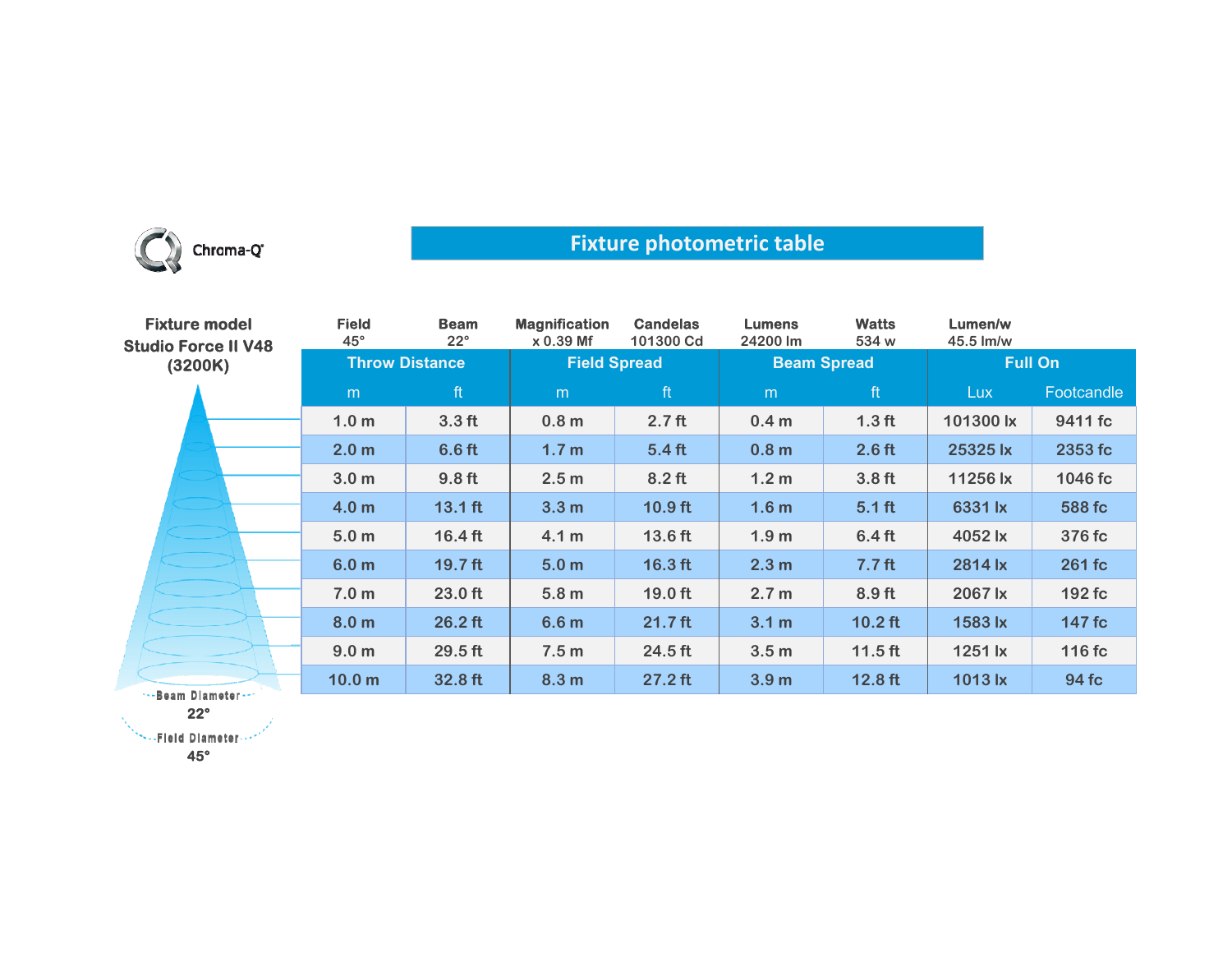

## **Fixture photometric table**

| <b>Fixture model</b><br><b>Studio Force II V48</b><br>(3200K) | <b>Field</b><br>$45^\circ$ | <b>Beam</b><br>$22^{\circ}$ | <b>Magnification</b><br>$x 0.39$ Mf | <b>Candelas</b><br>101300 Cd | <b>Lumens</b><br>24200 lm | <b>Watts</b><br>534 w | Lumen/w<br>45.5 lm/w |            |
|---------------------------------------------------------------|----------------------------|-----------------------------|-------------------------------------|------------------------------|---------------------------|-----------------------|----------------------|------------|
|                                                               | <b>Throw Distance</b>      |                             | <b>Field Spread</b>                 |                              | <b>Beam Spread</b>        |                       | <b>Full On</b>       |            |
|                                                               | m                          | ft                          | m                                   | ft                           | m                         | ft                    | <b>Lux</b>           | Footcandle |
|                                                               | 1.0 <sub>m</sub>           | 3.3 <sub>ft</sub>           | 0.8 <sub>m</sub>                    | 2.7 <sub>ft</sub>            | 0.4 <sub>m</sub>          | 1.3 <sub>ft</sub>     | 101300 lx            | 9411 fc    |
|                                                               | 2.0 <sub>m</sub>           | 6.6 <sub>ft</sub>           | 1.7 <sub>m</sub>                    | 5.4 <sub>ft</sub>            | 0.8 <sub>m</sub>          | 2.6 <sub>ft</sub>     | 25325 lx             | 2353 fc    |
|                                                               | 3.0 <sub>m</sub>           | 9.8 <sub>ft</sub>           | 2.5 <sub>m</sub>                    | $8.2$ ft                     | 1.2 <sub>m</sub>          | 3.8 <sub>ft</sub>     | 11256 lx             | 1046 fc    |
|                                                               | 4.0 <sub>m</sub>           | $13.1$ ft                   | 3.3 <sub>m</sub>                    | $10.9$ ft                    | 1.6 <sub>m</sub>          | $5.1$ ft              | 6331 lx              | 588 fc     |
|                                                               | 5.0 <sub>m</sub>           | $16.4$ ft                   | 4.1 <sub>m</sub>                    | 13.6 ft                      | 1.9 <sub>m</sub>          | 6.4 <sub>ft</sub>     | 4052 lx              | 376 fc     |
|                                                               | 6.0 <sub>m</sub>           | $19.7$ ft                   | 5.0 <sub>m</sub>                    | $16.3$ ft                    | 2.3 <sub>m</sub>          | 7.7 <sub>ft</sub>     | 2814 lx              | 261 fc     |
|                                                               | 7.0 <sub>m</sub>           | $23.0$ ft                   | 5.8 <sub>m</sub>                    | $19.0$ ft                    | 2.7 <sub>m</sub>          | 8.9 <sub>ft</sub>     | 2067 lx              | 192 fc     |
|                                                               | 8.0 <sub>m</sub>           | $26.2$ ft                   | 6.6 <sub>m</sub>                    | $21.7$ ft                    | 3.1 <sub>m</sub>          | $10.2$ ft             | 1583 lx              | 147 fc     |
|                                                               | 9.0 <sub>m</sub>           | 29.5 ft                     | 7.5 <sub>m</sub>                    | 24.5 ft                      | 3.5 <sub>m</sub>          | $11.5$ ft             | 1251 lx              | 116 fc     |
| ***Beam Diameter***                                           | 10.0 <sub>m</sub>          | 32.8 ft                     | 8.3 <sub>m</sub>                    | $27.2$ ft                    | 3.9 <sub>m</sub>          | $12.8$ ft             | 1013 lx              | 94 fc      |

**22°**

**SEE Diameter --**

**45°**